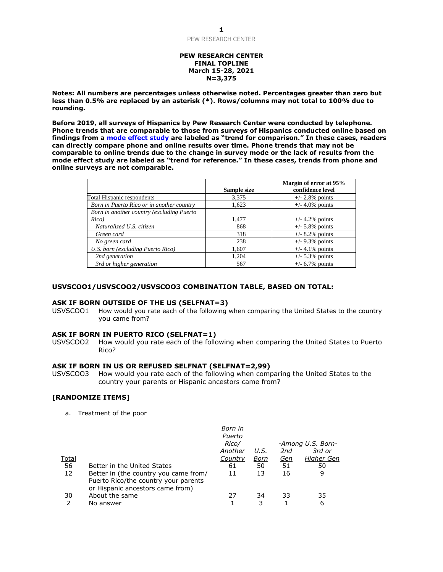### **PEW RESEARCH CENTER FINAL TOPLINE March 15-28, 2021 N=3,375**

**Notes: All numbers are percentages unless otherwise noted. Percentages greater than zero but less than 0.5% are replaced by an asterisk (\*). Rows/columns may not total to 100% due to rounding.** 

**Before 2019, all surveys of Hispanics by Pew Research Center were conducted by telephone. Phone trends that are comparable to those from surveys of Hispanics conducted online based on findings from a [mode effect study](https://www.pewresearch.org/fact-tank/2019/02/27/what-our-transition-to-online-polling-means-for-decades-of-phone-survey-trends/) are labeled as "trend for comparison." In these cases, readers can directly compare phone and online results over time. Phone trends that may not be comparable to online trends due to the change in survey mode or the lack of results from the mode effect study are labeled as "trend for reference." In these cases, trends from phone and online surveys are not comparable.**

|                                           |             | Margin of error at 95% |
|-------------------------------------------|-------------|------------------------|
|                                           | Sample size | confidence level       |
| Total Hispanic respondents                | 3,375       | $+/- 2.8\%$ points     |
| Born in Puerto Rico or in another country | 1,623       | $+/- 4.0\%$ points     |
| Born in another country (excluding Puerto |             |                        |
| Rico)                                     | 1,477       | $+/- 4.2\%$ points     |
| Naturalized U.S. citizen                  | 868         | $+/- 5.8\%$ points     |
| Green card                                | 318         | $+/- 8.2\%$ points     |
| No green card                             | 238         | $+/- 9.3\%$ points     |
| U.S. born (excluding Puerto Rico)         | 1,607       | $+/- 4.1\%$ points     |
| 2nd generation                            | 1,204       | $+/- 5.3\%$ points     |
| 3rd or higher generation                  | 567         | $+/- 6.7\%$ points     |

# **USVSCOO1/USVSCOO2/USVSCOO3 COMBINATION TABLE, BASED ON TOTAL:**

#### **ASK IF BORN OUTSIDE OF THE US (SELFNAT=3)**

USVSCOO1 How would you rate each of the following when comparing the United States to the country you came from?

### **ASK IF BORN IN PUERTO RICO (SELFNAT=1)**

USVSCOO2 How would you rate each of the following when comparing the United States to Puerto Rico?

### **ASK IF BORN IN US OR REFUSED SELFNAT (SELFNAT=2,99)**

USVSCOO3 How would you rate each of the following when comparing the United States to the country your parents or Hispanic ancestors came from?

### **[RANDOMIZE ITEMS]**

a. Treatment of the poor

|              |                                                                                                                   | Born in |      |     |                   |
|--------------|-------------------------------------------------------------------------------------------------------------------|---------|------|-----|-------------------|
|              |                                                                                                                   | Puerto  |      |     |                   |
|              |                                                                                                                   | Rico/   |      |     | -Among U.S. Born- |
|              |                                                                                                                   | Another | U.S. | 2nd | 3rd or            |
| <b>Total</b> |                                                                                                                   | Country | Born | Gen | <b>Higher Gen</b> |
| 56           | Better in the United States                                                                                       | 61      | 50   | 51  | 50                |
| 12           | Better in (the country you came from/<br>Puerto Rico/the country your parents<br>or Hispanic ancestors came from) | 11      | 13   | 16  | 9                 |
| 30           | About the same                                                                                                    | 27      | 34   | 33  | 35                |
|              | No answer                                                                                                         |         | 3    |     | 6                 |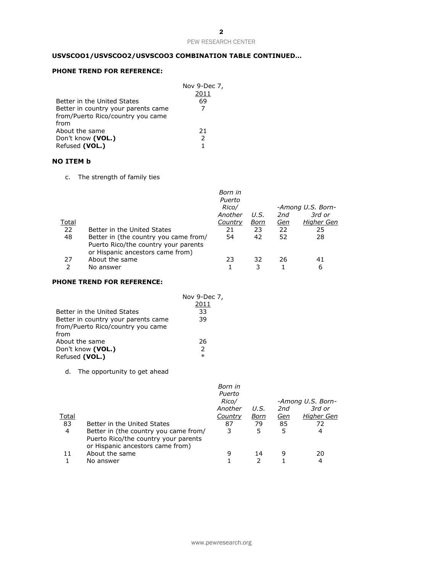# **USVSCOO1/USVSCOO2/USVSCOO3 COMBINATION TABLE CONTINUED…**

# **PHONE TREND FOR REFERENCE:**

|                                     | Nov 9-Dec 7,  |
|-------------------------------------|---------------|
|                                     | 2011          |
| Better in the United States         | 69            |
| Better in country your parents came |               |
| from/Puerto Rico/country you came   |               |
| from                                |               |
| About the same                      | 21            |
| Don't know (VOL.)                   | $\mathcal{P}$ |
| Refused (VOL.)                      | 1             |

# **NO ITEM b**

c. The strength of family ties

| Better in the United States<br>Better in (the country you came from/<br>Puerto Rico/the country your parents | Born in<br>Puerto<br>Rico/<br>Another<br>Country<br>21<br>54 | U.S.<br>Born<br>23<br>42 | 2nd<br><u>Gen</u><br>22<br>52 | -Among U.S. Born-<br>3rd or<br>Higher Gen<br>25<br>28 |
|--------------------------------------------------------------------------------------------------------------|--------------------------------------------------------------|--------------------------|-------------------------------|-------------------------------------------------------|
| About the same<br>No answer                                                                                  | 23                                                           | 32                       | 26                            | 41<br>6                                               |
|                                                                                                              | or Hispanic ancestors came from)                             |                          |                               |                                                       |

# **PHONE TREND FOR REFERENCE:**

|                                     | Nov 9-Dec 7,  |
|-------------------------------------|---------------|
|                                     | 2011          |
| Better in the United States         | 33            |
| Better in country your parents came | 39            |
| from/Puerto Rico/country you came   |               |
| from                                |               |
| About the same                      | 26            |
| Don't know (VOL.)                   | $\mathcal{P}$ |
| Refused (VOL.)                      | $\ast$        |

### d. The opportunity to get ahead

|       |                                                                                                                   | Born in<br>Puerto<br>Rico/ |      |     | -Among U.S. Born- |
|-------|-------------------------------------------------------------------------------------------------------------------|----------------------------|------|-----|-------------------|
|       |                                                                                                                   | Another                    | U.S. | 2nd | 3rd or            |
| Total |                                                                                                                   | Country                    | Born | Gen | Higher Gen        |
| 83    | Better in the United States                                                                                       | 87                         | 79   | 85  | 72                |
| 4     | Better in (the country you came from/<br>Puerto Rico/the country your parents<br>or Hispanic ancestors came from) | 3                          | 5    | 5   | 4                 |
| 11    | About the same                                                                                                    | g                          | 14   | 9   | 20                |
|       | No answer                                                                                                         |                            |      |     | 4                 |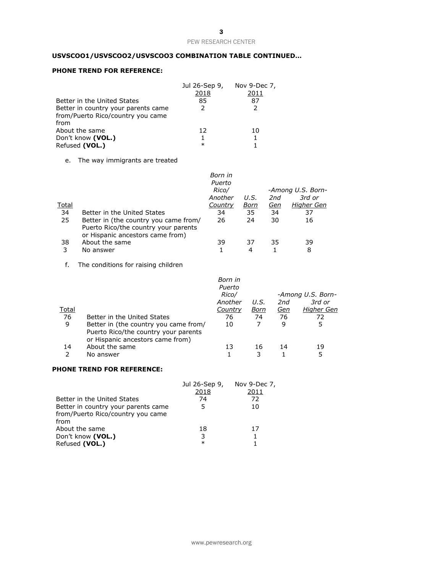# **USVSCOO1/USVSCOO2/USVSCOO3 COMBINATION TABLE CONTINUED…**

### **PHONE TREND FOR REFERENCE:**

|                                     | Jul 26-Sep 9,<br>2018 | Nov 9-Dec 7,<br>2011 |
|-------------------------------------|-----------------------|----------------------|
| Better in the United States         | 85                    | 87                   |
| Better in country your parents came | $\mathcal{P}$         | $\mathcal{P}$        |
| from/Puerto Rico/country you came   |                       |                      |
| from                                |                       |                      |
| About the same                      | 12                    | 10                   |
| Don't know (VOL.)                   |                       |                      |
| Refused (VOL.)                      | $\ast$                |                      |

### e. The way immigrants are treated

| <u>Total</u><br>34<br>25 | Better in the United States<br>Better in (the country you came from/<br>Puerto Rico/the country your parents<br>or Hispanic ancestors came from) | Born in<br>Puerto<br>Rico/<br>Another<br>Country<br>34<br>26 | U.S.<br>Born<br>35<br>24 | 2nd<br><u>Gen</u><br>34<br>30 | -Among U.S. Born-<br>3rd or<br>Higher Gen<br>37<br>16 |
|--------------------------|--------------------------------------------------------------------------------------------------------------------------------------------------|--------------------------------------------------------------|--------------------------|-------------------------------|-------------------------------------------------------|
| 38<br>3                  | About the same<br>No answer                                                                                                                      | 39                                                           | 37<br>4                  | 35                            | 39<br>8                                               |

f. The conditions for raising children

|              |                                                                          | Born in<br>Puerto<br>Rico/ |      |            | -Among U.S. Born- |
|--------------|--------------------------------------------------------------------------|----------------------------|------|------------|-------------------|
|              |                                                                          | Another                    | U.S. | 2nd        | 3rd or            |
| <u>Total</u> |                                                                          | Country                    | Born | <u>Gen</u> | <b>Higher Gen</b> |
| 76           | Better in the United States                                              | 76                         | 74   | 76         | 72                |
| 9            | Better in (the country you came from/                                    | 10                         |      | 9          | 5                 |
|              | Puerto Rico/the country your parents<br>or Hispanic ancestors came from) |                            |      |            |                   |
| 14           | About the same                                                           | 13                         | 16   | 14         | 19                |
|              | No answer                                                                |                            | 3    |            | 5                 |

### **PHONE TREND FOR REFERENCE:**

|                                     | Jul 26-Sep 9, | Nov 9-Dec $7$ , |
|-------------------------------------|---------------|-----------------|
|                                     | 2018          | 2011            |
| Better in the United States         | 74            | 72              |
| Better in country your parents came | 5             | 10              |
| from/Puerto Rico/country you came   |               |                 |
| from                                |               |                 |
| About the same                      | 18            | 17              |
| Don't know (VOL.)                   | 3             |                 |
| Refused (VOL.)                      | $\ast$        |                 |